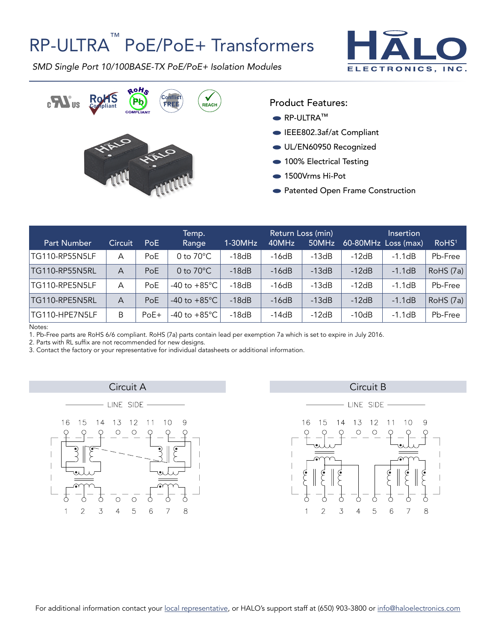## RP-ULTRA<sup>™</sup> PoE/PoE+ Transformers



*SMD Single Port 10/100BASE-TX PoE/PoE+ Isolation Modules*



Product Features:

- RP-ULTRA™
- EEE802.3af/at Compliant
- UL/EN60950 Recognized
- 100% Electrical Testing
- 1500Vrms Hi-Pot
- Patented Open Frame Construction

| <b>Part Number</b>    | Circuit | <b>PoE</b> | Temp.<br>Range           | $1-30MHz$ | Return Loss (min)<br>40MHz | 50MHz   |         | Insertion<br>$60-80$ MHz Loss (max) | RoHS <sup>1</sup> |
|-----------------------|---------|------------|--------------------------|-----------|----------------------------|---------|---------|-------------------------------------|-------------------|
| TG110-RP55N5LF        | A       | PoE        | 0 to $70^{\circ}$ C      | $-18dB$   | $-16dB$                    | $-13dB$ | $-12dB$ | $-1.1dB$                            | Pb-Free           |
| <b>TG110-RP55N5RL</b> | A       | PoE        | 0 to $70^{\circ}$ C      | $-18dB$   | $-16dB$                    | $-13dB$ | $-12dB$ | $-1.1dB$                            | RoHS (7a)         |
| TG110-RPE5N5LF        | A       | PoE        | -40 to $+85^{\circ}$ C   | $-18dB$   | $-16dB$                    | $-13dB$ | $-12dB$ | $-1.1dB$                            | Pb-Free           |
| TG110-RPE5N5RL        | A       | PoE        | $-40$ to $+85^{\circ}$ C | $-18dB$   | $-16dB$                    | $-13dB$ | $-12dB$ | $-1.1dB$                            | RoHS (7a)         |
| TG110-HPE7N5LF        | B       | $PoE+$     | -40 to $+85^{\circ}$ C   | $-18dB$   | $-14dB$                    | $-12dB$ | $-10dB$ | $-1.1dB$                            | Pb-Free           |

Notes:

1. Pb-Free parts are RoHS 6/6 compliant. RoHS (7a) parts contain lead per exemption 7a which is set to expire in July 2016.

2. Parts with RL suffix are not recommended for new designs.

3. Contact the factory or your representative for individual datasheets or additional information.